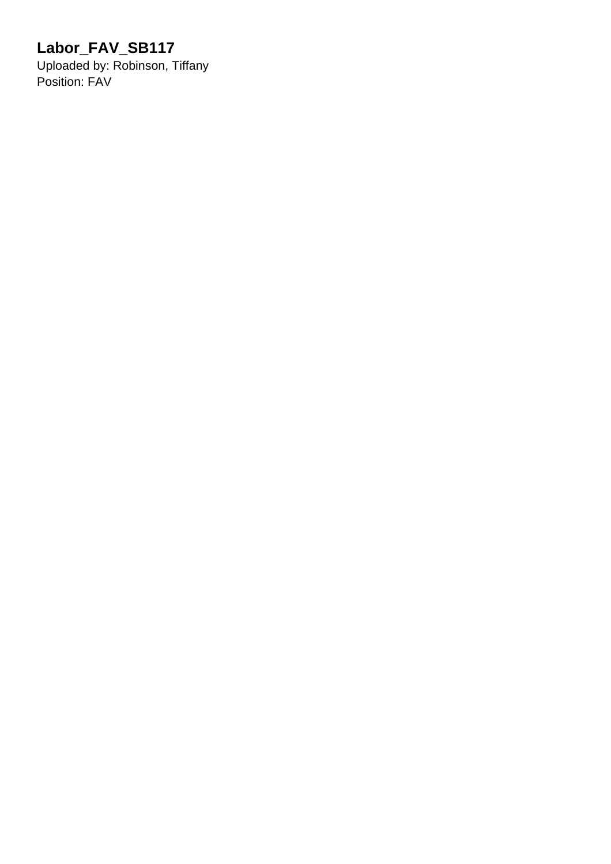## **Labor\_FAV\_SB117**

Uploaded by: Robinson, Tiffany Position: FAV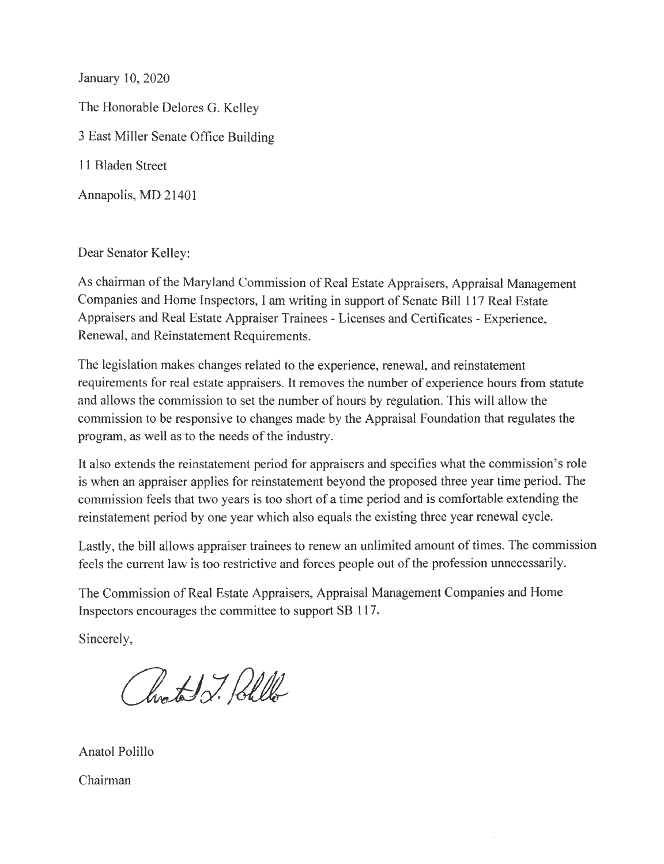January 10, 2020 The Honorable Delores G. Kelley 3 East Miller Senate Office Building 11 Bladen Street Annapolis, MD 21401

Dear Senator Kelley:

As chairman of the Maryland Commission of Real Estate Appraisers, Appraisal Management Companies and Home Inspectors, I am writing in support of Senate Bill 117 Real Estate Appraisers and Real Estate Appraiser Trainees - Licenses and Certificates - Experience, Renewal, and Reinstatement Requirements.

The legislation makes changes related to the experience, renewal, and reinstatement requirements for real estate appraisers. It removes the number of experience hours from statute and allows the commission to set the number of hours by regulation. This will allow the commission to be responsive to changes made by the Appraisal Foundation that regulates the program, as well as to the needs of the industry.

It also extends the reinstatement period for appraisers and specifies what the commission's role is when an appraiser applies for reinstatement beyond the proposed three year time period. The commission feels that two years is too short of a time period and is comfortable extending the reinstatement period by one year which also equals the existing three year renewal cycle.

Lastly, the bill allows appraiser trainees to renew an unlimited amount of times. The commission feels the current law is too restrictive and forces people out of the profession unnecessarily.

The Commission of Real Estate Appraisers, Appraisal Management Companies and Home Inspectors encourages the committee to support SB 117.

Sincerely,

Clarated J. Beller

Anatol Polillo

Chairman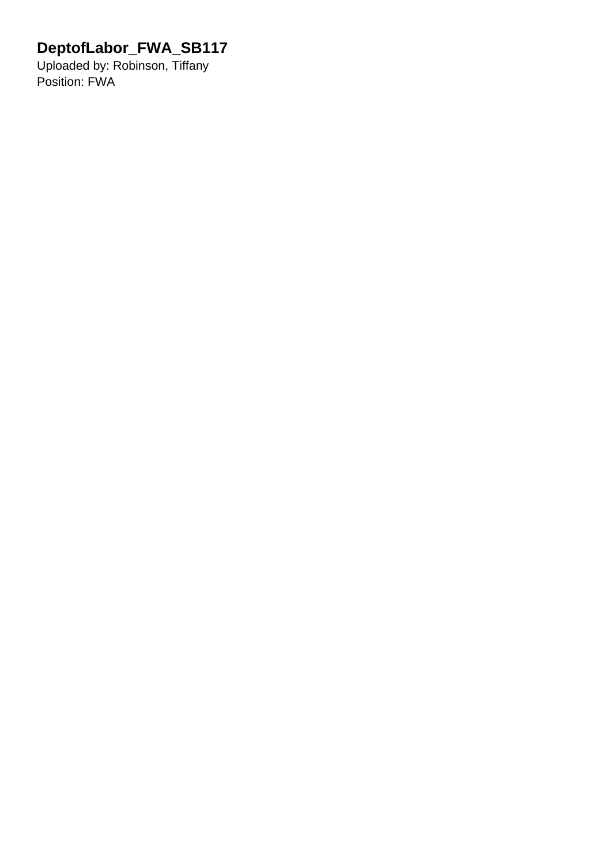## **DeptofLabor\_FWA\_SB117**

Uploaded by: Robinson, Tiffany Position: FWA